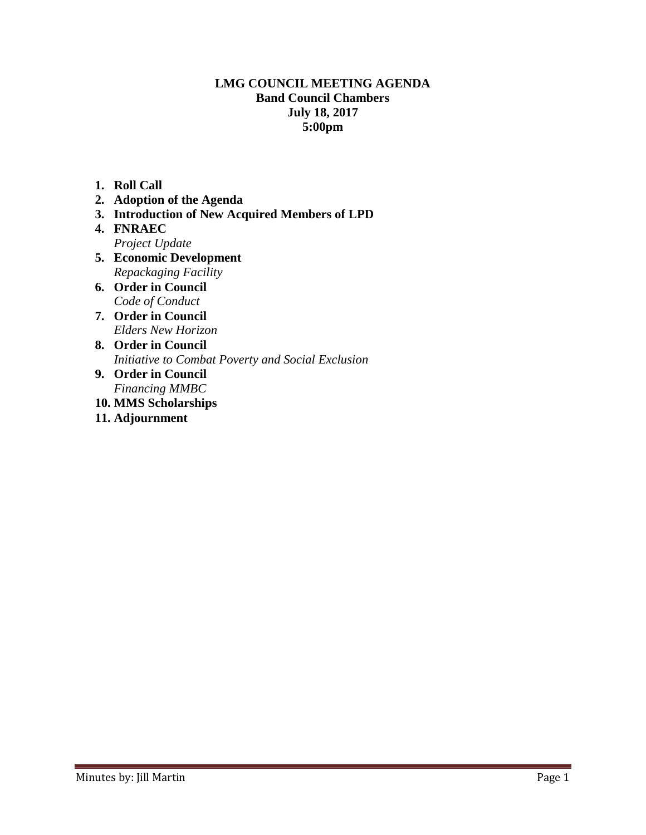### **LMG COUNCIL MEETING AGENDA Band Council Chambers July 18, 2017 5:00pm**

- **1. Roll Call**
- **2. Adoption of the Agenda**
- **3. Introduction of New Acquired Members of LPD**
- **4. FNRAEC**  *Project Update*
- **5. Economic Development**  *Repackaging Facility*
- **6. Order in Council** *Code of Conduct*
- **7. Order in Council**  *Elders New Horizon*
- **8. Order in Council**  *Initiative to Combat Poverty and Social Exclusion*
- **9. Order in Council** *Financing MMBC*
- **10. MMS Scholarships**
- **11. Adjournment**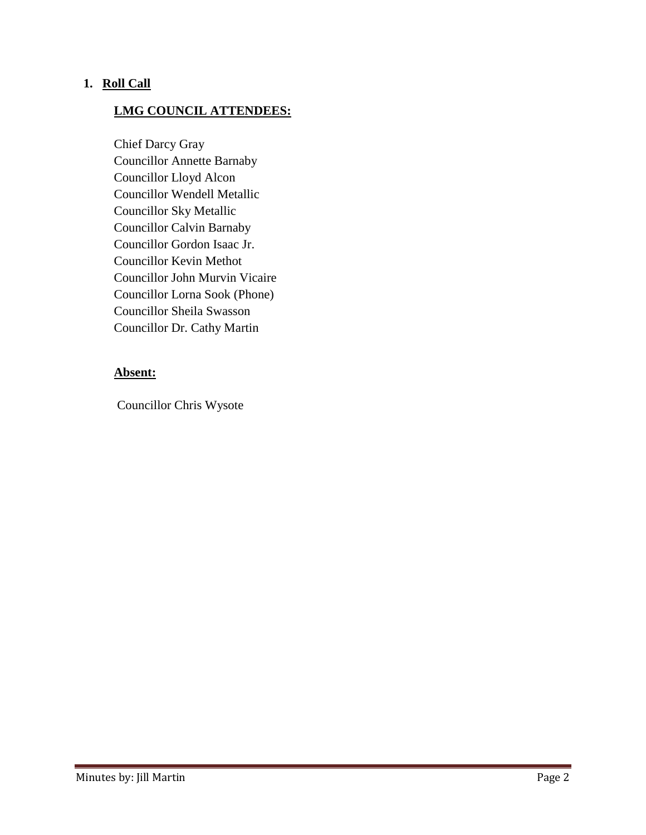### **1. Roll Call**

### **LMG COUNCIL ATTENDEES:**

Chief Darcy Gray Councillor Annette Barnaby Councillor Lloyd Alcon Councillor Wendell Metallic Councillor Sky Metallic Councillor Calvin Barnaby Councillor Gordon Isaac Jr. Councillor Kevin Methot Councillor John Murvin Vicaire Councillor Lorna Sook (Phone) Councillor Sheila Swasson Councillor Dr. Cathy Martin

### **Absent:**

Councillor Chris Wysote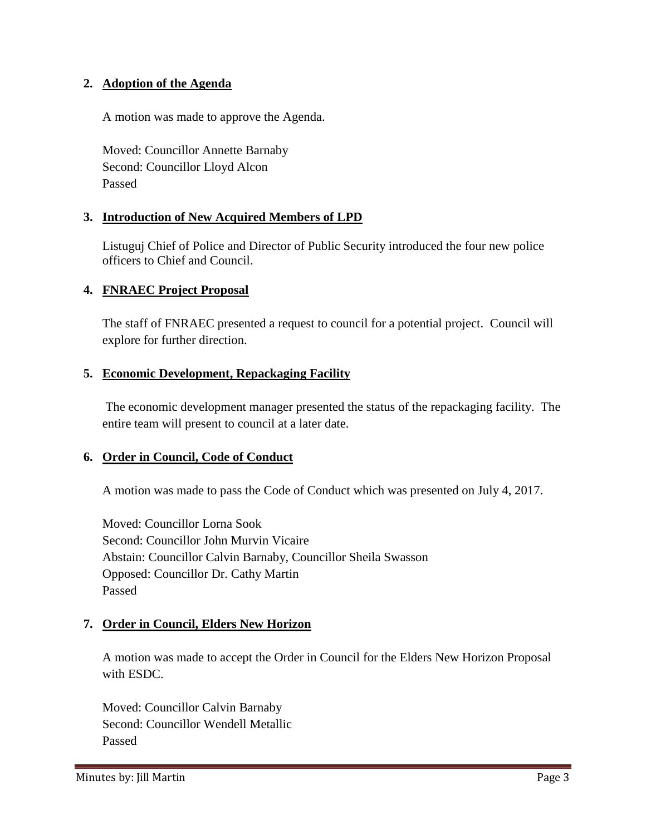### **2. Adoption of the Agenda**

A motion was made to approve the Agenda.

Moved: Councillor Annette Barnaby Second: Councillor Lloyd Alcon Passed

# **3. Introduction of New Acquired Members of LPD**

Listuguj Chief of Police and Director of Public Security introduced the four new police officers to Chief and Council.

# **4. FNRAEC Project Proposal**

The staff of FNRAEC presented a request to council for a potential project. Council will explore for further direction.

# **5. Economic Development, Repackaging Facility**

The economic development manager presented the status of the repackaging facility. The entire team will present to council at a later date.

### **6. Order in Council, Code of Conduct**

A motion was made to pass the Code of Conduct which was presented on July 4, 2017.

Moved: Councillor Lorna Sook Second: Councillor John Murvin Vicaire Abstain: Councillor Calvin Barnaby, Councillor Sheila Swasson Opposed: Councillor Dr. Cathy Martin Passed

### **7. Order in Council, Elders New Horizon**

A motion was made to accept the Order in Council for the Elders New Horizon Proposal with ESDC.

Moved: Councillor Calvin Barnaby Second: Councillor Wendell Metallic Passed